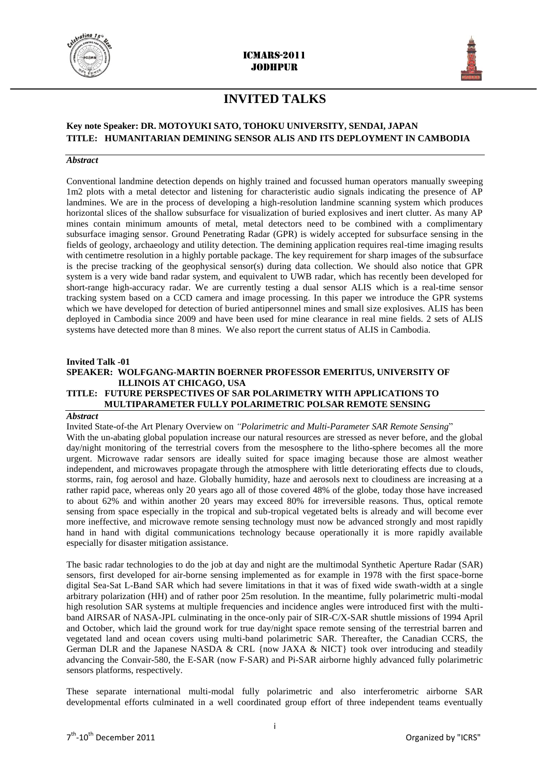



## **INVITED TALKS**

## **Key note Speaker: DR. MOTOYUKI SATO, TOHOKU UNIVERSITY, SENDAI, JAPAN TITLE: HUMANITARIAN DEMINING SENSOR ALIS AND ITS DEPLOYMENT IN CAMBODIA**

#### *Abstract*

Conventional landmine detection depends on highly trained and focussed human operators manually sweeping 1m2 plots with a metal detector and listening for characteristic audio signals indicating the presence of AP landmines. We are in the process of developing a high-resolution landmine scanning system which produces horizontal slices of the shallow subsurface for visualization of buried explosives and inert clutter. As many AP mines contain minimum amounts of metal, metal detectors need to be combined with a complimentary subsurface imaging sensor. Ground Penetrating Radar (GPR) is widely accepted for subsurface sensing in the fields of geology, archaeology and utility detection. The demining application requires real-time imaging results with centimetre resolution in a highly portable package. The key requirement for sharp images of the subsurface is the precise tracking of the geophysical sensor(s) during data collection. We should also notice that GPR system is a very wide band radar system, and equivalent to UWB radar, which has recently been developed for short-range high-accuracy radar. We are currently testing a dual sensor ALIS which is a real-time sensor tracking system based on a CCD camera and image processing. In this paper we introduce the GPR systems which we have developed for detection of buried antipersonnel mines and small size explosives. ALIS has been deployed in Cambodia since 2009 and have been used for mine clearance in real mine fields. 2 sets of ALIS systems have detected more than 8 mines. We also report the current status of ALIS in Cambodia.

#### **Invited Talk -01**

#### **SPEAKER: WOLFGANG-MARTIN BOERNER PROFESSOR EMERITUS, UNIVERSITY OF ILLINOIS AT CHICAGO, USA TITLE: FUTURE PERSPECTIVES OF SAR POLARIMETRY WITH APPLICATIONS TO MULTIPARAMETER FULLY POLARIMETRIC POLSAR REMOTE SENSING**

#### *Abstract*

Invited State-of-the Art Plenary Overview on *"Polarimetric and Multi-Parameter SAR Remote Sensing*" With the un-abating global population increase our natural resources are stressed as never before, and the global day/night monitoring of the terrestrial covers from the mesosphere to the litho-sphere becomes all the more urgent. Microwave radar sensors are ideally suited for space imaging because those are almost weather independent, and microwaves propagate through the atmosphere with little deteriorating effects due to clouds, storms, rain, fog aerosol and haze. Globally humidity, haze and aerosols next to cloudiness are increasing at a rather rapid pace, whereas only 20 years ago all of those covered 48% of the globe, today those have increased to about 62% and within another 20 years may exceed 80% for irreversible reasons. Thus, optical remote sensing from space especially in the tropical and sub-tropical vegetated belts is already and will become ever more ineffective, and microwave remote sensing technology must now be advanced strongly and most rapidly hand in hand with digital communications technology because operationally it is more rapidly available especially for disaster mitigation assistance.

The basic radar technologies to do the job at day and night are the multimodal Synthetic Aperture Radar (SAR) sensors, first developed for air-borne sensing implemented as for example in 1978 with the first space-borne digital Sea-Sat L-Band SAR which had severe limitations in that it was of fixed wide swath-width at a single arbitrary polarization (HH) and of rather poor 25m resolution. In the meantime, fully polarimetric multi-modal high resolution SAR systems at multiple frequencies and incidence angles were introduced first with the multiband AIRSAR of NASA-JPL culminating in the once-only pair of SIR-C/X-SAR shuttle missions of 1994 April and October, which laid the ground work for true day/night space remote sensing of the terrestrial barren and vegetated land and ocean covers using multi-band polarimetric SAR. Thereafter, the Canadian CCRS, the German DLR and the Japanese NASDA & CRL {now JAXA & NICT} took over introducing and steadily advancing the Convair-580, the E-SAR (now F-SAR) and Pi-SAR airborne highly advanced fully polarimetric sensors platforms, respectively.

These separate international multi-modal fully polarimetric and also interferometric airborne SAR developmental efforts culminated in a well coordinated group effort of three independent teams eventually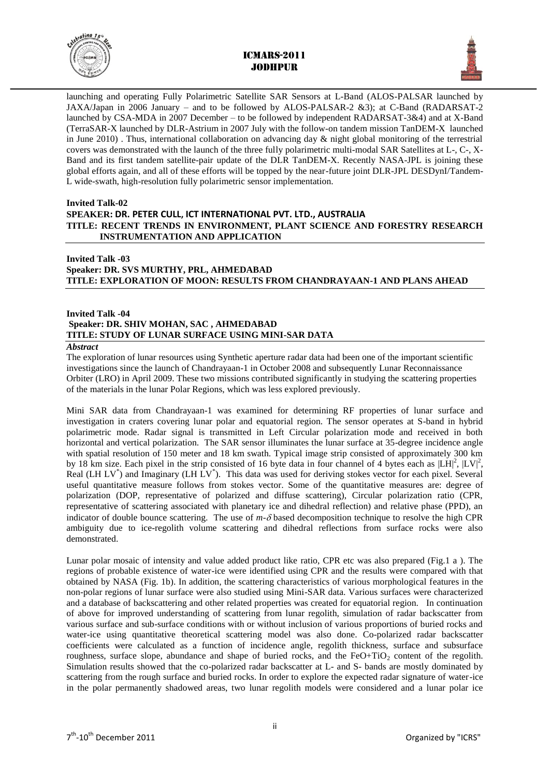



launching and operating Fully Polarimetric Satellite SAR Sensors at L-Band (ALOS-PALSAR launched by JAXA/Japan in 2006 January – and to be followed by ALOS-PALSAR-2 &3); at C-Band (RADARSAT-2 launched by CSA-MDA in 2007 December – to be followed by independent RADARSAT-3&4) and at X-Band (TerraSAR-X launched by DLR-Astrium in 2007 July with the follow-on tandem mission TanDEM-X launched in June 2010). Thus, international collaboration on advancing day  $\&$  night global monitoring of the terrestrial covers was demonstrated with the launch of the three fully polarimetric multi-modal SAR Satellites at L-, C-, X-Band and its first tandem satellite-pair update of the DLR TanDEM-X. Recently NASA-JPL is joining these global efforts again, and all of these efforts will be topped by the near-future joint DLR-JPL DESDynI/Tandem-L wide-swath, high-resolution fully polarimetric sensor implementation.

#### **Invited Talk-02**

## **SPEAKER: DR. PETER CULL, ICT INTERNATIONAL PVT. LTD., AUSTRALIA TITLE: RECENT TRENDS IN ENVIRONMENT, PLANT SCIENCE AND FORESTRY RESEARCH INSTRUMENTATION AND APPLICATION**

## **Invited Talk -03 Speaker: DR. SVS MURTHY, PRL, AHMEDABAD TITLE: EXPLORATION OF MOON: RESULTS FROM CHANDRAYAAN-1 AND PLANS AHEAD**

### **Invited Talk -04 Speaker: DR. SHIV MOHAN, SAC , AHMEDABAD TITLE: STUDY OF LUNAR SURFACE USING MINI-SAR DATA**

#### *Abstract*

The exploration of lunar resources using Synthetic aperture radar data had been one of the important scientific investigations since the launch of Chandrayaan-1 in October 2008 and subsequently Lunar Reconnaissance Orbiter (LRO) in April 2009. These two missions contributed significantly in studying the scattering properties of the materials in the lunar Polar Regions, which was less explored previously.

Mini SAR data from Chandrayaan-1 was examined for determining RF properties of lunar surface and investigation in craters covering lunar polar and equatorial region. The sensor operates at S-band in hybrid polarimetric mode. Radar signal is transmitted in Left Circular polarization mode and received in both horizontal and vertical polarization. The SAR sensor illuminates the lunar surface at 35-degree incidence angle with spatial resolution of 150 meter and 18 km swath. Typical image strip consisted of approximately 300 km by 18 km size. Each pixel in the strip consisted of 16 byte data in four channel of 4 bytes each as  $|LH|^2$ ,  $|LV|^2$ , Real (LH LV<sup>\*</sup>) and Imaginary (LH LV<sup>\*</sup>). This data was used for deriving stokes vector for each pixel. Several useful quantitative measure follows from stokes vector. Some of the quantitative measures are: degree of polarization (DOP, representative of polarized and diffuse scattering), Circular polarization ratio (CPR, representative of scattering associated with planetary ice and dihedral reflection) and relative phase (PPD), an indicator of double bounce scattering. The use of  $m-\delta$  based decomposition technique to resolve the high CPR ambiguity due to ice-regolith volume scattering and dihedral reflections from surface rocks were also demonstrated.

Lunar polar mosaic of intensity and value added product like ratio, CPR etc was also prepared (Fig.1 a ). The regions of probable existence of water-ice were identified using CPR and the results were compared with that obtained by NASA (Fig. 1b). In addition, the scattering characteristics of various morphological features in the non-polar regions of lunar surface were also studied using Mini-SAR data. Various surfaces were characterized and a database of backscattering and other related properties was created for equatorial region. In continuation of above for improved understanding of scattering from lunar regolith, simulation of radar backscatter from various surface and sub-surface conditions with or without inclusion of various proportions of buried rocks and water-ice using quantitative theoretical scattering model was also done. Co-polarized radar backscatter coefficients were calculated as a function of incidence angle, regolith thickness, surface and subsurface roughness, surface slope, abundance and shape of buried rocks, and the FeO+TiO<sub>2</sub> content of the regolith. Simulation results showed that the co-polarized radar backscatter at L- and S- bands are mostly dominated by scattering from the rough surface and buried rocks. In order to explore the expected radar signature of water-ice in the polar permanently shadowed areas, two lunar regolith models were considered and a lunar polar ice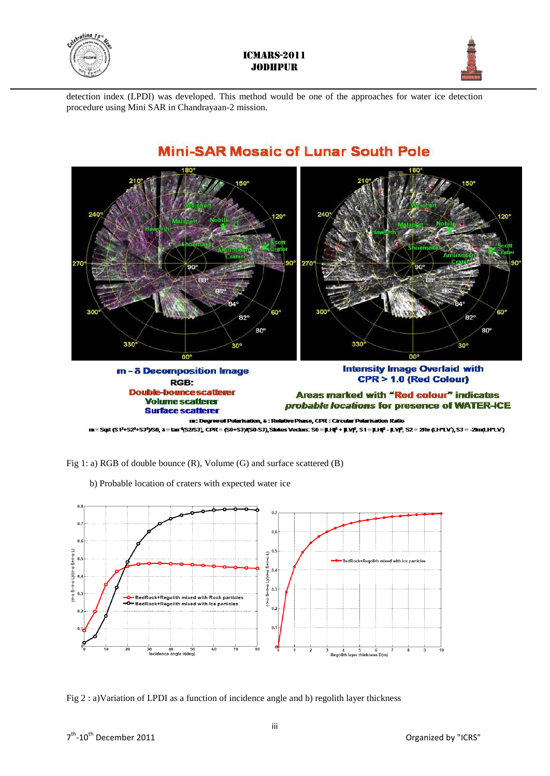



detection index (LPDI) was developed. This method would be one of the approaches for water ice detection procedure using Mini SAR in Chandrayaan-2 mission.



# **Mini-SAR Mosaic of Lunar South Pole**

Fig 1: a) RGB of double bounce (R), Volume (G) and surface scattered (B)

 $0.8$  $\overline{0}$  $0.7$  $0.6$ L)(0-0 S+0-0 L)  $\overline{1}$  $M$ G-0 $S + G - O$ .<br>⊩Regolith mixed with Ice particles  $0.4$  $\Omega$  $S - r - o$  $S - 0 - 8$  $\rm 0.3$  $^{\circ}$  $0.2$  $0.1$  $\frac{30}{100}$   $\frac{40}{100}$   $\frac{50}{100}$ 4 5 6<br>Regolith layer thinkness D(m)

b) Probable location of craters with expected water ice

Fig 2 : a)Variation of LPDI as a function of incidence angle and b) regolith layer thickness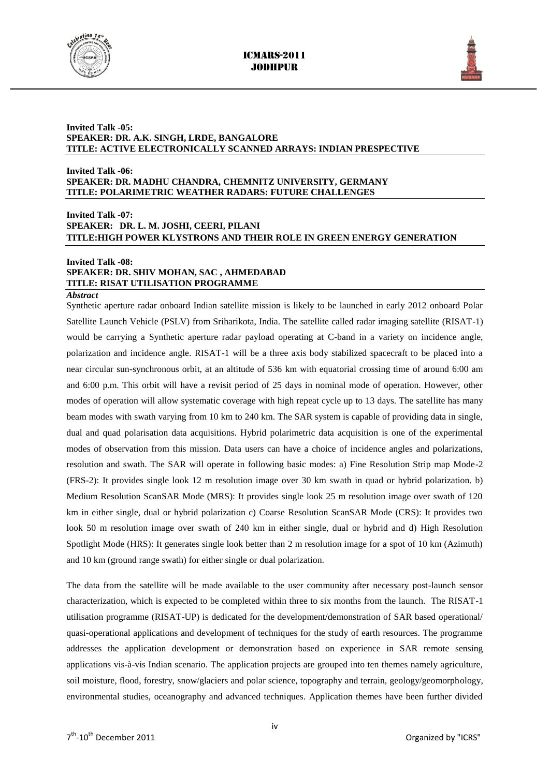



#### **Invited Talk -05: SPEAKER: DR. A.K. SINGH, LRDE, BANGALORE TITLE: ACTIVE ELECTRONICALLY SCANNED ARRAYS: INDIAN PRESPECTIVE**

#### **Invited Talk -06: SPEAKER: DR. MADHU CHANDRA, CHEMNITZ UNIVERSITY, GERMANY TITLE: POLARIMETRIC WEATHER RADARS: FUTURE CHALLENGES**

## **Invited Talk -07: SPEAKER: DR. L. M. JOSHI, CEERI, PILANI TITLE:HIGH POWER KLYSTRONS AND THEIR ROLE IN GREEN ENERGY GENERATION**

#### **Invited Talk -08:**

## **SPEAKER: DR. SHIV MOHAN, SAC , AHMEDABAD TITLE: RISAT UTILISATION PROGRAMME**

#### *Abstract*

Synthetic aperture radar onboard Indian satellite mission is likely to be launched in early 2012 onboard Polar Satellite Launch Vehicle (PSLV) from Sriharikota, India. The satellite called radar imaging satellite (RISAT-1) would be carrying a Synthetic aperture radar payload operating at C-band in a variety on incidence angle, polarization and incidence angle. RISAT-1 will be a three axis body stabilized spacecraft to be placed into a near circular sun-synchronous orbit, at an altitude of 536 km with equatorial crossing time of around 6:00 am and 6:00 p.m. This orbit will have a revisit period of 25 days in nominal mode of operation. However, other modes of operation will allow systematic coverage with high repeat cycle up to 13 days. The satellite has many beam modes with swath varying from 10 km to 240 km. The SAR system is capable of providing data in single, dual and quad polarisation data acquisitions. Hybrid polarimetric data acquisition is one of the experimental modes of observation from this mission. Data users can have a choice of incidence angles and polarizations, resolution and swath. The SAR will operate in following basic modes: a) Fine Resolution Strip map Mode-2 (FRS-2): It provides single look 12 m resolution image over 30 km swath in quad or hybrid polarization. b) Medium Resolution ScanSAR Mode (MRS): It provides single look 25 m resolution image over swath of 120 km in either single, dual or hybrid polarization c) Coarse Resolution ScanSAR Mode (CRS): It provides two look 50 m resolution image over swath of 240 km in either single, dual or hybrid and d) High Resolution Spotlight Mode (HRS): It generates single look better than 2 m resolution image for a spot of 10 km (Azimuth) and 10 km (ground range swath) for either single or dual polarization.

The data from the satellite will be made available to the user community after necessary post-launch sensor characterization, which is expected to be completed within three to six months from the launch. The RISAT-1 utilisation programme (RISAT-UP) is dedicated for the development/demonstration of SAR based operational/ quasi-operational applications and development of techniques for the study of earth resources. The programme addresses the application development or demonstration based on experience in SAR remote sensing applications vis-à-vis Indian scenario. The application projects are grouped into ten themes namely agriculture, soil moisture, flood, forestry, snow/glaciers and polar science, topography and terrain, geology/geomorphology, environmental studies, oceanography and advanced techniques. Application themes have been further divided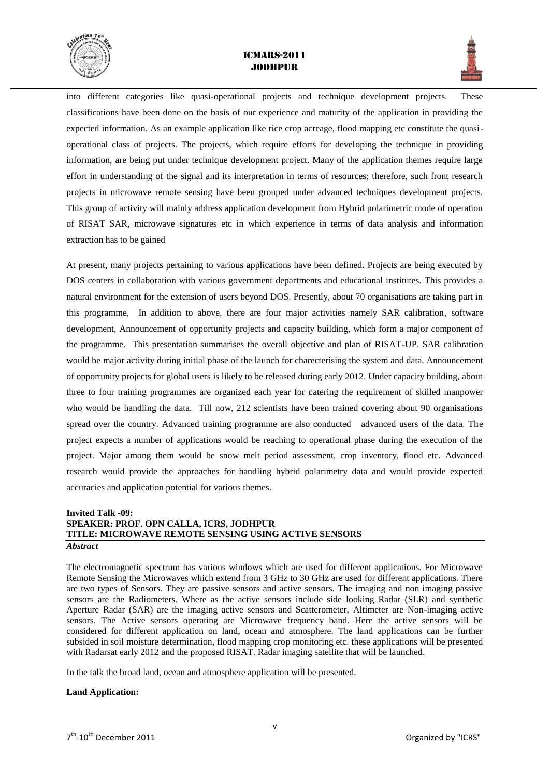



into different categories like quasi-operational projects and technique development projects. These classifications have been done on the basis of our experience and maturity of the application in providing the expected information. As an example application like rice crop acreage, flood mapping etc constitute the quasioperational class of projects. The projects, which require efforts for developing the technique in providing information, are being put under technique development project. Many of the application themes require large effort in understanding of the signal and its interpretation in terms of resources; therefore, such front research projects in microwave remote sensing have been grouped under advanced techniques development projects. This group of activity will mainly address application development from Hybrid polarimetric mode of operation of RISAT SAR, microwave signatures etc in which experience in terms of data analysis and information extraction has to be gained

At present, many projects pertaining to various applications have been defined. Projects are being executed by DOS centers in collaboration with various government departments and educational institutes. This provides a natural environment for the extension of users beyond DOS. Presently, about 70 organisations are taking part in this programme, In addition to above, there are four major activities namely SAR calibration, software development, Announcement of opportunity projects and capacity building, which form a major component of the programme. This presentation summarises the overall objective and plan of RISAT-UP. SAR calibration would be major activity during initial phase of the launch for charecterising the system and data. Announcement of opportunity projects for global users is likely to be released during early 2012. Under capacity building, about three to four training programmes are organized each year for catering the requirement of skilled manpower who would be handling the data. Till now, 212 scientists have been trained covering about 90 organisations spread over the country. Advanced training programme are also conducted advanced users of the data. The project expects a number of applications would be reaching to operational phase during the execution of the project. Major among them would be snow melt period assessment, crop inventory, flood etc. Advanced research would provide the approaches for handling hybrid polarimetry data and would provide expected accuracies and application potential for various themes.

## **Invited Talk -09: SPEAKER: PROF. OPN CALLA, ICRS, JODHPUR TITLE: MICROWAVE REMOTE SENSING USING ACTIVE SENSORS** *Abstract*

The electromagnetic spectrum has various windows which are used for different applications. For Microwave Remote Sensing the Microwaves which extend from 3 GHz to 30 GHz are used for different applications. There are two types of Sensors. They are passive sensors and active sensors. The imaging and non imaging passive sensors are the Radiometers. Where as the active sensors include side looking Radar (SLR) and synthetic Aperture Radar (SAR) are the imaging active sensors and Scatterometer, Altimeter are Non-imaging active sensors. The Active sensors operating are Microwave frequency band. Here the active sensors will be considered for different application on land, ocean and atmosphere. The land applications can be further subsided in soil moisture determination, flood mapping crop monitoring etc. these applications will be presented with Radarsat early 2012 and the proposed RISAT. Radar imaging satellite that will be launched.

In the talk the broad land, ocean and atmosphere application will be presented.

#### **Land Application:**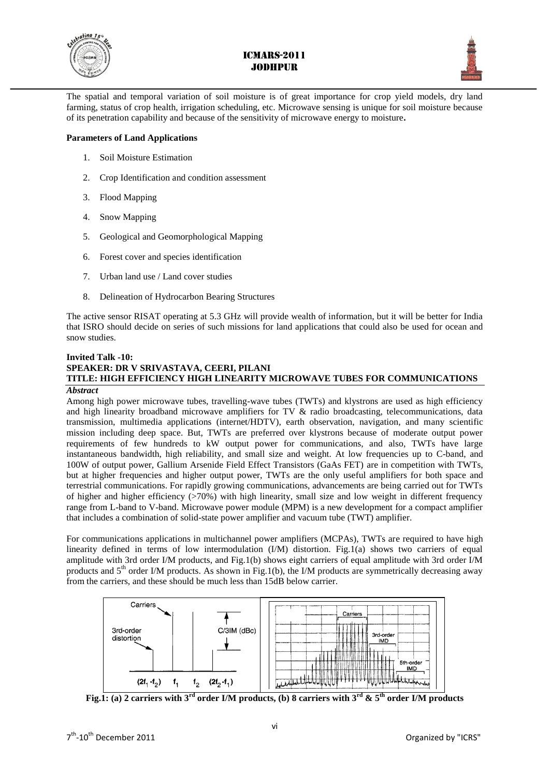



The spatial and temporal variation of soil moisture is of great importance for crop yield models, dry land farming, status of crop health, irrigation scheduling, etc. Microwave sensing is unique for soil moisture because of its penetration capability and because of the sensitivity of microwave energy to moisture**.**

## **Parameters of Land Applications**

- 1. Soil Moisture Estimation
- 2. Crop Identification and condition assessment
- 3. Flood Mapping
- 4. Snow Mapping
- 5. Geological and Geomorphological Mapping
- 6. Forest cover and species identification
- 7. Urban land use / Land cover studies
- 8. Delineation of Hydrocarbon Bearing Structures

The active sensor RISAT operating at 5.3 GHz will provide wealth of information, but it will be better for India that ISRO should decide on series of such missions for land applications that could also be used for ocean and snow studies.

## **Invited Talk -10: SPEAKER: DR V SRIVASTAVA, CEERI, PILANI TITLE: HIGH EFFICIENCY HIGH LINEARITY MICROWAVE TUBES FOR COMMUNICATIONS**

#### *Abstract*

Among high power microwave tubes, travelling-wave tubes (TWTs) and klystrons are used as high efficiency and high linearity broadband microwave amplifiers for TV  $\&$  radio broadcasting, telecommunications, data transmission, multimedia applications (internet/HDTV), earth observation, navigation, and many scientific mission including deep space. But, TWTs are preferred over klystrons because of moderate output power requirements of few hundreds to kW output power for communications, and also, TWTs have large instantaneous bandwidth, high reliability, and small size and weight. At low frequencies up to C-band, and 100W of output power, Gallium Arsenide Field Effect Transistors (GaAs FET) are in competition with TWTs, but at higher frequencies and higher output power, TWTs are the only useful amplifiers for both space and terrestrial communications. For rapidly growing communications, advancements are being carried out for TWTs of higher and higher efficiency  $(270%)$  with high linearity, small size and low weight in different frequency range from L-band to V-band. Microwave power module (MPM) is a new development for a compact amplifier that includes a combination of solid-state power amplifier and vacuum tube (TWT) amplifier.

For communications applications in multichannel power amplifiers (MCPAs), TWTs are required to have high linearity defined in terms of low intermodulation (I/M) distortion. Fig.1(a) shows two carriers of equal amplitude with 3rd order I/M products, and Fig.1(b) shows eight carriers of equal amplitude with 3rd order I/M products and 5<sup>th</sup> order I/M products. As shown in Fig.1(b), the I/M products are symmetrically decreasing away from the carriers, and these should be much less than 15dB below carrier.



**Fig.1:** (a) 2 carriers with  $3^{\text{rd}}$  order I/M products, (b) 8 carriers with  $3^{\text{rd}}$  &  $5^{\text{th}}$  order I/M products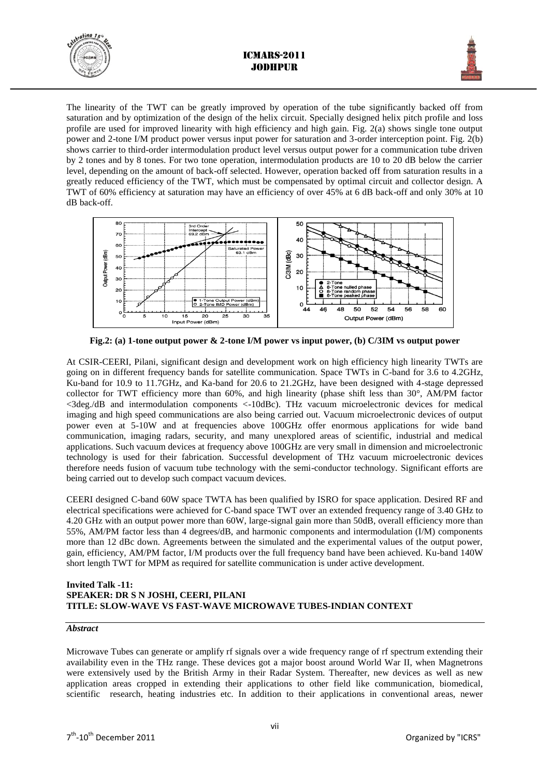



The linearity of the TWT can be greatly improved by operation of the tube significantly backed off from saturation and by optimization of the design of the helix circuit. Specially designed helix pitch profile and loss profile are used for improved linearity with high efficiency and high gain. Fig. 2(a) shows single tone output power and 2-tone I/M product power versus input power for saturation and 3-order interception point. Fig. 2(b) shows carrier to third-order intermodulation product level versus output power for a communication tube driven by 2 tones and by 8 tones. For two tone operation, intermodulation products are 10 to 20 dB below the carrier level, depending on the amount of back-off selected. However, operation backed off from saturation results in a greatly reduced efficiency of the TWT, which must be compensated by optimal circuit and collector design. A TWT of 60% efficiency at saturation may have an efficiency of over 45% at 6 dB back-off and only 30% at 10 dB back-off.



**Fig.2: (a) 1-tone output power & 2-tone I/M power vs input power, (b) C/3IM vs output power**

At CSIR-CEERI, Pilani, significant design and development work on high efficiency high linearity TWTs are going on in different frequency bands for satellite communication. Space TWTs in C-band for 3.6 to 4.2GHz, Ku-band for 10.9 to 11.7GHz, and Ka-band for 20.6 to 21.2GHz, have been designed with 4-stage depressed collector for TWT efficiency more than 60%, and high linearity (phase shift less than 30°, AM/PM factor <3deg./dB and intermodulation components <-10dBc). THz vacuum microelectronic devices for medical imaging and high speed communications are also being carried out. Vacuum microelectronic devices of output power even at 5-10W and at frequencies above 100GHz offer enormous applications for wide band communication, imaging radars, security, and many unexplored areas of scientific, industrial and medical applications. Such vacuum devices at frequency above 100GHz are very small in dimension and microelectronic technology is used for their fabrication. Successful development of THz vacuum microelectronic devices therefore needs fusion of vacuum tube technology with the semi-conductor technology. Significant efforts are being carried out to develop such compact vacuum devices.

CEERI designed C-band 60W space TWTA has been qualified by ISRO for space application. Desired RF and electrical specifications were achieved for C-band space TWT over an extended frequency range of 3.40 GHz to 4.20 GHz with an output power more than 60W, large-signal gain more than 50dB, overall efficiency more than 55%, AM/PM factor less than 4 degrees/dB, and harmonic components and intermodulation (I/M) components more than 12 dBc down. Agreements between the simulated and the experimental values of the output power, gain, efficiency, AM/PM factor, I/M products over the full frequency band have been achieved. Ku-band 140W short length TWT for MPM as required for satellite communication is under active development.

#### **Invited Talk -11: SPEAKER: DR S N JOSHI, CEERI, PILANI TITLE: SLOW-WAVE VS FAST-WAVE MICROWAVE TUBES-INDIAN CONTEXT**

#### *Abstract*

Microwave Tubes can generate or amplify rf signals over a wide frequency range of rf spectrum extending their availability even in the THz range. These devices got a major boost around World War II, when Magnetrons were extensively used by the British Army in their Radar System. Thereafter, new devices as well as new application areas cropped in extending their applications to other field like communication, biomedical, scientific research, heating industries etc. In addition to their applications in conventional areas, newer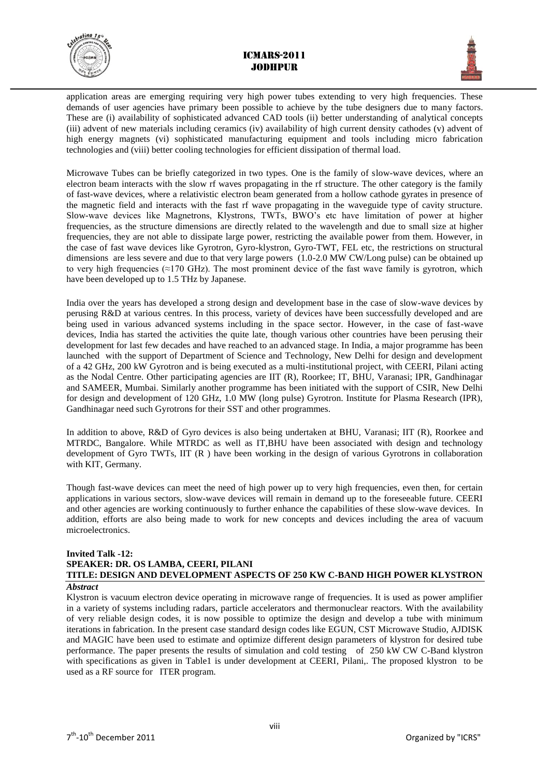



application areas are emerging requiring very high power tubes extending to very high frequencies. These demands of user agencies have primary been possible to achieve by the tube designers due to many factors. These are (i) availability of sophisticated advanced CAD tools (ii) better understanding of analytical concepts (iii) advent of new materials including ceramics (iv) availability of high current density cathodes (v) advent of high energy magnets (vi) sophisticated manufacturing equipment and tools including micro fabrication technologies and (viii) better cooling technologies for efficient dissipation of thermal load.

Microwave Tubes can be briefly categorized in two types. One is the family of slow-wave devices, where an electron beam interacts with the slow rf waves propagating in the rf structure. The other category is the family of fast-wave devices, where a relativistic electron beam generated from a hollow cathode gyrates in presence of the magnetic field and interacts with the fast rf wave propagating in the waveguide type of cavity structure. Slow-wave devices like Magnetrons, Klystrons, TWTs, BWO's etc have limitation of power at higher frequencies, as the structure dimensions are directly related to the wavelength and due to small size at higher frequencies, they are not able to dissipate large power, restricting the available power from them. However, in the case of fast wave devices like Gyrotron, Gyro-klystron, Gyro-TWT, FEL etc, the restrictions on structural dimensions are less severe and due to that very large powers (1.0-2.0 MW CW/Long pulse) can be obtained up to very high frequencies ( $\approx$ 170 GHz). The most prominent device of the fast wave family is gyrotron, which have been developed up to 1.5 THz by Japanese.

India over the years has developed a strong design and development base in the case of slow-wave devices by perusing R&D at various centres. In this process, variety of devices have been successfully developed and are being used in various advanced systems including in the space sector. However, in the case of fast-wave devices, India has started the activities the quite late, though various other countries have been perusing their development for last few decades and have reached to an advanced stage. In India, a major programme has been launched with the support of Department of Science and Technology, New Delhi for design and development of a 42 GHz, 200 kW Gyrotron and is being executed as a multi-institutional project, with CEERI, Pilani acting as the Nodal Centre. Other participating agencies are IIT (R), Roorkee; IT, BHU, Varanasi; IPR, Gandhinagar and SAMEER, Mumbai. Similarly another programme has been initiated with the support of CSIR, New Delhi for design and development of 120 GHz, 1.0 MW (long pulse) Gyrotron. Institute for Plasma Research (IPR), Gandhinagar need such Gyrotrons for their SST and other programmes.

In addition to above, R&D of Gyro devices is also being undertaken at BHU, Varanasi; IIT (R), Roorkee and MTRDC, Bangalore. While MTRDC as well as IT,BHU have been associated with design and technology development of Gyro TWTs, IIT (R ) have been working in the design of various Gyrotrons in collaboration with KIT, Germany.

Though fast-wave devices can meet the need of high power up to very high frequencies, even then, for certain applications in various sectors, slow-wave devices will remain in demand up to the foreseeable future. CEERI and other agencies are working continuously to further enhance the capabilities of these slow-wave devices. In addition, efforts are also being made to work for new concepts and devices including the area of vacuum microelectronics.

## **Invited Talk -12: SPEAKER: DR. OS LAMBA, CEERI, PILANI TITLE: DESIGN AND DEVELOPMENT ASPECTS OF 250 KW C-BAND HIGH POWER KLYSTRON**

#### *Abstract*

Klystron is vacuum electron device operating in microwave range of frequencies. It is used as power amplifier in a variety of systems including radars, particle accelerators and thermonuclear reactors. With the availability of very reliable design codes, it is now possible to optimize the design and develop a tube with minimum iterations in fabrication. In the present case standard design codes like EGUN, CST Microwave Studio, AJDISK and MAGIC have been used to estimate and optimize different design parameters of klystron for desired tube performance. The paper presents the results of simulation and cold testing of 250 kW CW C-Band klystron with specifications as given in Table1 is under development at CEERI, Pilani,. The proposed klystron to be used as a RF source for ITER program.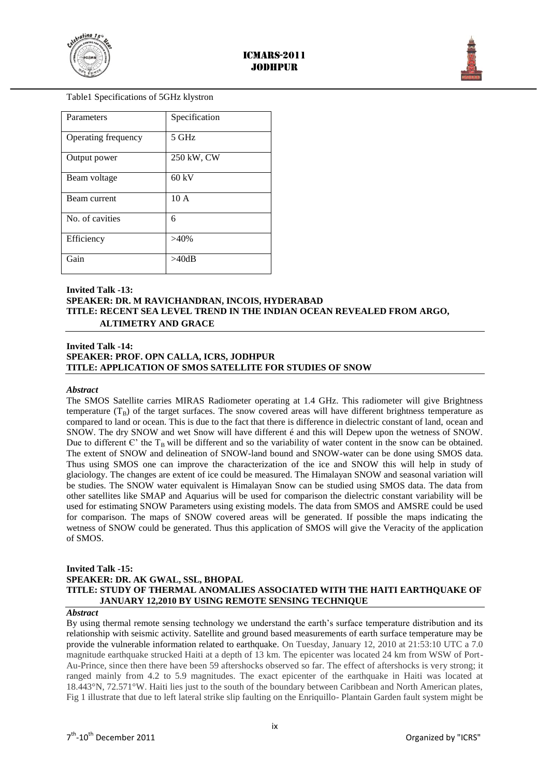



Table1 Specifications of 5GHz klystron

| Parameters          | Specification |
|---------------------|---------------|
| Operating frequency | 5 GHz         |
| Output power        | 250 kW, CW    |
| Beam voltage        | $60$ kV       |
| Beam current        | 10A           |
| No. of cavities     | 6             |
| Efficiency          | $>40\%$       |
| Gain                | >40dB         |

## **Invited Talk -13: SPEAKER: DR. M RAVICHANDRAN, INCOIS, HYDERABAD TITLE: RECENT SEA LEVEL TREND IN THE INDIAN OCEAN REVEALED FROM ARGO, ALTIMETRY AND GRACE**

#### **Invited Talk -14: SPEAKER: PROF. OPN CALLA, ICRS, JODHPUR TITLE: APPLICATION OF SMOS SATELLITE FOR STUDIES OF SNOW**

#### *Abstract*

The SMOS Satellite carries MIRAS Radiometer operating at 1.4 GHz. This radiometer will give Brightness temperature  $(T_B)$  of the target surfaces. The snow covered areas will have different brightness temperature as compared to land or ocean. This is due to the fact that there is difference in dielectric constant of land, ocean and SNOW. The dry SNOW and wet Snow will have different é and this will Depew upon the wetness of SNOW. Due to different  $\mathbf{C}'$  the T<sub>B</sub> will be different and so the variability of water content in the snow can be obtained. The extent of SNOW and delineation of SNOW-land bound and SNOW-water can be done using SMOS data. Thus using SMOS one can improve the characterization of the ice and SNOW this will help in study of glaciology. The changes are extent of ice could be measured. The Himalayan SNOW and seasonal variation will be studies. The SNOW water equivalent is Himalayan Snow can be studied using SMOS data. The data from other satellites like SMAP and Aquarius will be used for comparison the dielectric constant variability will be used for estimating SNOW Parameters using existing models. The data from SMOS and AMSRE could be used for comparison. The maps of SNOW covered areas will be generated. If possible the maps indicating the wetness of SNOW could be generated. Thus this application of SMOS will give the Veracity of the application of SMOS.

#### **Invited Talk -15:**

#### **SPEAKER: DR. AK GWAL, SSL, BHOPAL TITLE: STUDY OF THERMAL ANOMALIES ASSOCIATED WITH THE HAITI EARTHQUAKE OF JANUARY 12,2010 BY USING REMOTE SENSING TECHNIQUE**

#### *Abstract*

By using thermal remote sensing technology we understand the earth's surface temperature distribution and its relationship with seismic activity. Satellite and ground based measurements of earth surface temperature may be provide the vulnerable information related to earthquake. On Tuesday, January 12, 2010 at 21:53:10 UTC a 7.0 magnitude earthquake strucked Haiti at a depth of 13 km. The epicenter was located 24 km from WSW of Port-Au-Prince, since then there have been 59 aftershocks observed so far. The effect of aftershocks is very strong; it ranged mainly from 4.2 to 5.9 magnitudes. The exact epicenter of the earthquake in Haiti was located at 18.443°N, 72.571°W. Haiti lies just to the south of the boundary between Caribbean and North American plates, Fig 1 illustrate that due to left lateral strike slip faulting on the Enriquillo- Plantain Garden fault system might be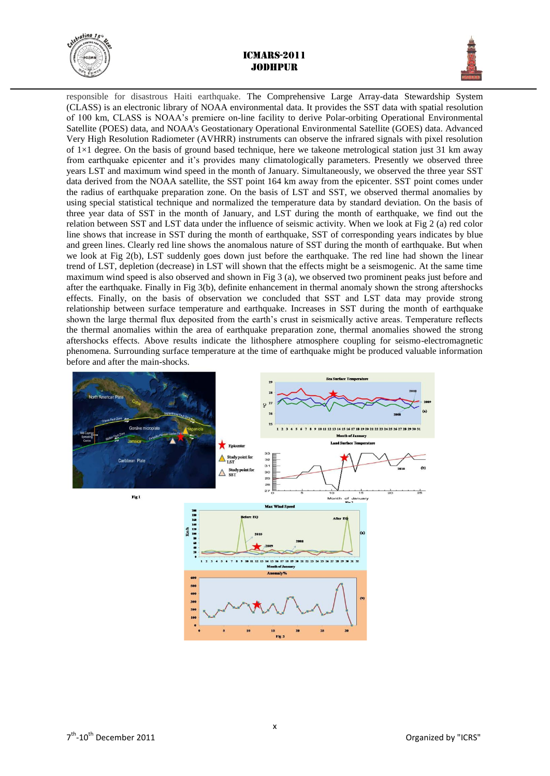



responsible for disastrous Haiti earthquake. The Comprehensive Large Array-data Stewardship System (CLASS) is an electronic library of NOAA environmental data. It provides the SST data with spatial resolution of 100 km, CLASS is NOAA's premiere on-line facility to derive Polar-orbiting Operational Environmental Satellite (POES) data, and NOAA's Geostationary Operational Environmental Satellite (GOES) data. Advanced Very High Resolution Radiometer (AVHRR) instruments can observe the infrared signals with pixel resolution of  $1\times1$  degree. On the basis of ground based technique, here we takeone metrological station just 31 km away from earthquake epicenter and it's provides many climatologically parameters. Presently we observed three years LST and maximum wind speed in the month of January. Simultaneously, we observed the three year SST data derived from the NOAA satellite, the SST point 164 km away from the epicenter. SST point comes under the radius of earthquake preparation zone. On the basis of LST and SST, we observed thermal anomalies by using special statistical technique and normalized the temperature data by standard deviation. On the basis of three year data of SST in the month of January, and LST during the month of earthquake, we find out the relation between SST and LST data under the influence of seismic activity. When we look at Fig 2 (a) red color line shows that increase in SST during the month of earthquake, SST of corresponding years indicates by blue and green lines. Clearly red line shows the anomalous nature of SST during the month of earthquake. But when we look at Fig 2(b), LST suddenly goes down just before the earthquake. The red line had shown the linear trend of LST, depletion (decrease) in LST will shown that the effects might be a seismogenic. At the same time maximum wind speed is also observed and shown in Fig 3 (a), we observed two prominent peaks just before and after the earthquake. Finally in Fig 3(b), definite enhancement in thermal anomaly shown the strong aftershocks effects. Finally, on the basis of observation we concluded that SST and LST data may provide strong relationship between surface temperature and earthquake. Increases in SST during the month of earthquake shown the large thermal flux deposited from the earth's crust in seismically active areas. Temperature reflects the thermal anomalies within the area of earthquake preparation zone, thermal anomalies showed the strong aftershocks effects. Above results indicate the lithosphere atmosphere coupling for seismo-electromagnetic phenomena. Surrounding surface temperature at the time of earthquake might be produced valuable information before and after the main-shocks.

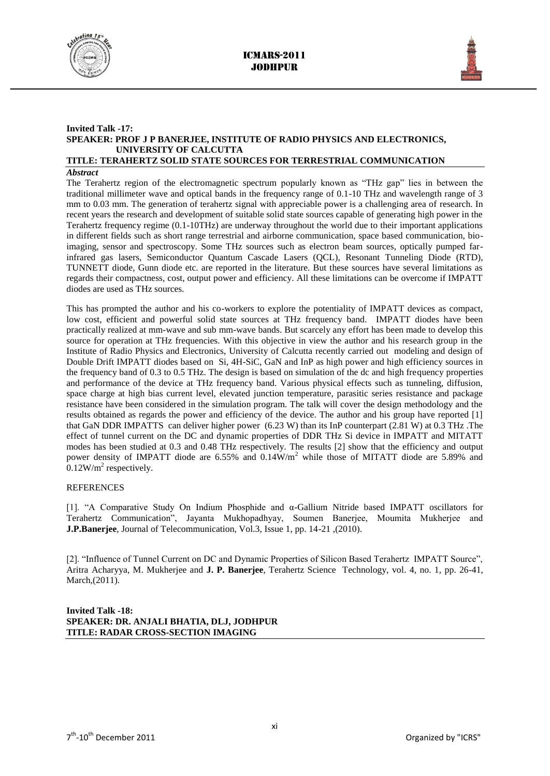



## **Invited Talk -17: SPEAKER: PROF J P BANERJEE, INSTITUTE OF RADIO PHYSICS AND ELECTRONICS, UNIVERSITY OF CALCUTTA**

## **TITLE: TERAHERTZ SOLID STATE SOURCES FOR TERRESTRIAL COMMUNICATION**

#### *Abstract*

The Terahertz region of the electromagnetic spectrum popularly known as "THz gap" lies in between the traditional millimeter wave and optical bands in the frequency range of 0.1-10 THz and wavelength range of 3 mm to 0.03 mm. The generation of terahertz signal with appreciable power is a challenging area of research. In recent years the research and development of suitable solid state sources capable of generating high power in the Terahertz frequency regime (0.1-10THz) are underway throughout the world due to their important applications in different fields such as short range terrestrial and airborne communication, space based communication, bioimaging, sensor and spectroscopy. Some THz sources such as electron beam sources, optically pumped farinfrared gas lasers, Semiconductor Quantum Cascade Lasers (QCL), Resonant Tunneling Diode (RTD), TUNNETT diode, Gunn diode etc. are reported in the literature. But these sources have several limitations as regards their compactness, cost, output power and efficiency. All these limitations can be overcome if IMPATT diodes are used as THz sources.

This has prompted the author and his co-workers to explore the potentiality of IMPATT devices as compact, low cost, efficient and powerful solid state sources at THz frequency band. IMPATT diodes have been practically realized at mm-wave and sub mm-wave bands. But scarcely any effort has been made to develop this source for operation at THz frequencies. With this objective in view the author and his research group in the Institute of Radio Physics and Electronics, University of Calcutta recently carried out modeling and design of Double Drift IMPATT diodes based on Si, 4H-SiC, GaN and InP as high power and high efficiency sources in the frequency band of 0.3 to 0.5 THz. The design is based on simulation of the dc and high frequency properties and performance of the device at THz frequency band. Various physical effects such as tunneling, diffusion, space charge at high bias current level, elevated junction temperature, parasitic series resistance and package resistance have been considered in the simulation program. The talk will cover the design methodology and the results obtained as regards the power and efficiency of the device. The author and his group have reported [1] that GaN DDR IMPATTS can deliver higher power (6.23 W) than its InP counterpart (2.81 W) at 0.3 THz .The effect of tunnel current on the DC and dynamic properties of DDR THz Si device in IMPATT and MITATT modes has been studied at 0.3 and 0.48 THz respectively. The results [2] show that the efficiency and output power density of IMPATT diode are  $6.55\%$  and  $0.14W/m^2$  while those of MITATT diode are 5.89% and  $0.12$ W/m<sup>2</sup> respectively.

#### **REFERENCES**

[1]. "A Comparative Study On Indium Phosphide and α-Gallium Nitride based IMPATT oscillators for Terahertz Communication", Jayanta Mukhopadhyay, Soumen Banerjee, Moumita Mukherjee and **J.P.Banerjee**, Journal of Telecommunication, Vol.3, Issue 1, pp. 14-21 ,(2010).

[2]. "Influence of Tunnel Current on DC and Dynamic Properties of Silicon Based Terahertz IMPATT Source", Aritra Acharyya, M. Mukherjee and **J. P. Banerjee**, Terahertz Science Technology, vol. 4, no. 1, pp. 26-41, March,(2011).

**Invited Talk -18: SPEAKER: DR. ANJALI BHATIA, DLJ, JODHPUR TITLE: RADAR CROSS-SECTION IMAGING**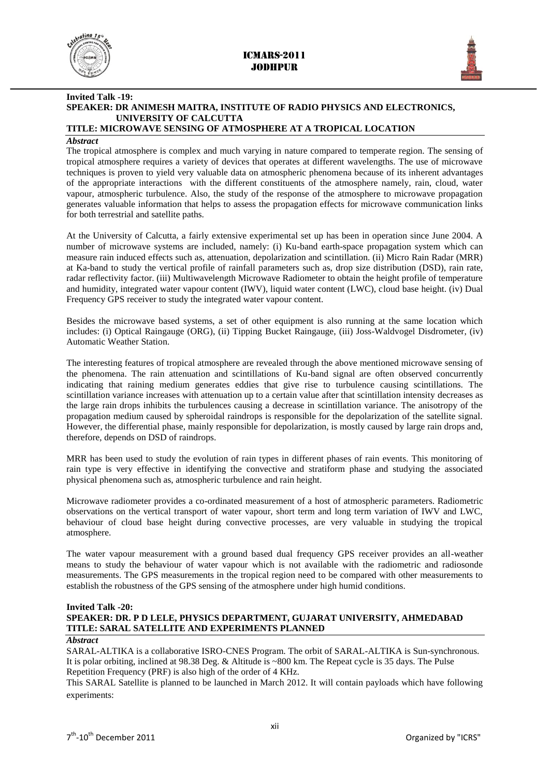



## **Invited Talk -19: SPEAKER: DR ANIMESH MAITRA, INSTITUTE OF RADIO PHYSICS AND ELECTRONICS, UNIVERSITY OF CALCUTTA**

## **TITLE: MICROWAVE SENSING OF ATMOSPHERE AT A TROPICAL LOCATION**

## *Abstract*

The tropical atmosphere is complex and much varying in nature compared to temperate region. The sensing of tropical atmosphere requires a variety of devices that operates at different wavelengths. The use of microwave techniques is proven to yield very valuable data on atmospheric phenomena because of its inherent advantages of the appropriate interactions with the different constituents of the atmosphere namely, rain, cloud, water vapour, atmospheric turbulence. Also, the study of the response of the atmosphere to microwave propagation generates valuable information that helps to assess the propagation effects for microwave communication links for both terrestrial and satellite paths.

At the University of Calcutta, a fairly extensive experimental set up has been in operation since June 2004. A number of microwave systems are included, namely: (i) Ku-band earth-space propagation system which can measure rain induced effects such as, attenuation, depolarization and scintillation. (ii) Micro Rain Radar (MRR) at Ka-band to study the vertical profile of rainfall parameters such as, drop size distribution (DSD), rain rate, radar reflectivity factor. (iii) Multiwavelength Microwave Radiometer to obtain the height profile of temperature and humidity, integrated water vapour content (IWV), liquid water content (LWC), cloud base height. (iv) Dual Frequency GPS receiver to study the integrated water vapour content.

Besides the microwave based systems, a set of other equipment is also running at the same location which includes: (i) Optical Raingauge (ORG), (ii) Tipping Bucket Raingauge, (iii) Joss-Waldvogel Disdrometer, (iv) Automatic Weather Station.

The interesting features of tropical atmosphere are revealed through the above mentioned microwave sensing of the phenomena. The rain attenuation and scintillations of Ku-band signal are often observed concurrently indicating that raining medium generates eddies that give rise to turbulence causing scintillations. The scintillation variance increases with attenuation up to a certain value after that scintillation intensity decreases as the large rain drops inhibits the turbulences causing a decrease in scintillation variance. The anisotropy of the propagation medium caused by spheroidal raindrops is responsible for the depolarization of the satellite signal. However, the differential phase, mainly responsible for depolarization, is mostly caused by large rain drops and, therefore, depends on DSD of raindrops.

MRR has been used to study the evolution of rain types in different phases of rain events. This monitoring of rain type is very effective in identifying the convective and stratiform phase and studying the associated physical phenomena such as, atmospheric turbulence and rain height.

Microwave radiometer provides a co-ordinated measurement of a host of atmospheric parameters. Radiometric observations on the vertical transport of water vapour, short term and long term variation of IWV and LWC, behaviour of cloud base height during convective processes, are very valuable in studying the tropical atmosphere.

The water vapour measurement with a ground based dual frequency GPS receiver provides an all-weather means to study the behaviour of water vapour which is not available with the radiometric and radiosonde measurements. The GPS measurements in the tropical region need to be compared with other measurements to establish the robustness of the GPS sensing of the atmosphere under high humid conditions.

#### **Invited Talk -20:**

## **SPEAKER: DR. P D LELE, PHYSICS DEPARTMENT, GUJARAT UNIVERSITY, AHMEDABAD TITLE: SARAL SATELLITE AND EXPERIMENTS PLANNED**

#### *Abstract*

SARAL-ALTIKA is a collaborative ISRO-CNES Program. The orbit of SARAL-ALTIKA is Sun-synchronous. It is polar orbiting, inclined at 98.38 Deg. & Altitude is ~800 km. The Repeat cycle is 35 days. The Pulse Repetition Frequency (PRF) is also high of the order of 4 KHz.

This SARAL Satellite is planned to be launched in March 2012. It will contain payloads which have following experiments: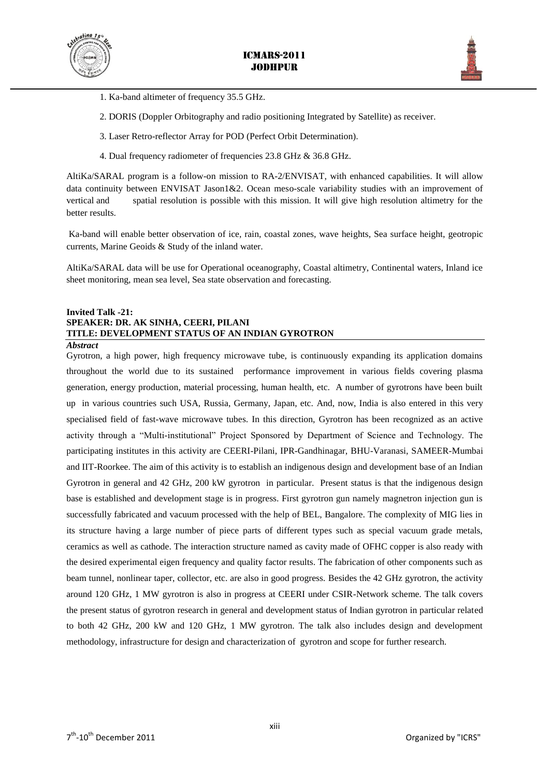



- 1. Ka-band altimeter of frequency 35.5 GHz.
- 2. DORIS (Doppler Orbitography and radio positioning Integrated by Satellite) as receiver.
- 3. Laser Retro-reflector Array for POD (Perfect Orbit Determination).
- 4. Dual frequency radiometer of frequencies 23.8 GHz & 36.8 GHz.

AltiKa/SARAL program is a follow-on mission to RA-2/ENVISAT, with enhanced capabilities. It will allow data continuity between ENVISAT Jason1&2. Ocean meso-scale variability studies with an improvement of vertical and spatial resolution is possible with this mission. It will give high resolution altimetry for the better results.

Ka-band will enable better observation of ice, rain, coastal zones, wave heights, Sea surface height, geotropic currents, Marine Geoids & Study of the inland water.

AltiKa/SARAL data will be use for Operational oceanography, Coastal altimetry, Continental waters, Inland ice sheet monitoring, mean sea level, Sea state observation and forecasting.

#### **Invited Talk -21: SPEAKER: DR. AK SINHA, CEERI, PILANI TITLE: DEVELOPMENT STATUS OF AN INDIAN GYROTRON** *Abstract*

Gyrotron, a high power, high frequency microwave tube, is continuously expanding its application domains throughout the world due to its sustained performance improvement in various fields covering plasma generation, energy production, material processing, human health, etc. A number of gyrotrons have been built up in various countries such USA, Russia, Germany, Japan, etc. And, now, India is also entered in this very specialised field of fast-wave microwave tubes. In this direction, Gyrotron has been recognized as an active activity through a "Multi-institutional" Project Sponsored by Department of Science and Technology. The participating institutes in this activity are CEERI-Pilani, IPR-Gandhinagar, BHU-Varanasi, SAMEER-Mumbai and IIT-Roorkee. The aim of this activity is to establish an indigenous design and development base of an Indian Gyrotron in general and 42 GHz, 200 kW gyrotron in particular. Present status is that the indigenous design base is established and development stage is in progress. First gyrotron gun namely magnetron injection gun is successfully fabricated and vacuum processed with the help of BEL, Bangalore. The complexity of MIG lies in its structure having a large number of piece parts of different types such as special vacuum grade metals, ceramics as well as cathode. The interaction structure named as cavity made of OFHC copper is also ready with the desired experimental eigen frequency and quality factor results. The fabrication of other components such as beam tunnel, nonlinear taper, collector, etc. are also in good progress. Besides the 42 GHz gyrotron, the activity around 120 GHz, 1 MW gyrotron is also in progress at CEERI under CSIR-Network scheme. The talk covers the present status of gyrotron research in general and development status of Indian gyrotron in particular related to both 42 GHz, 200 kW and 120 GHz, 1 MW gyrotron. The talk also includes design and development methodology, infrastructure for design and characterization of gyrotron and scope for further research.